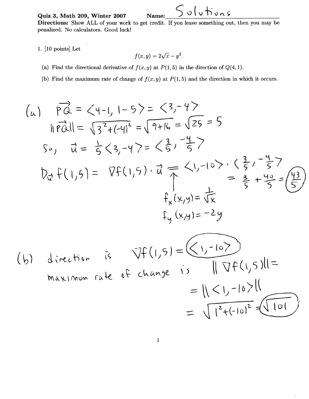Quiz 3, Math 209, Winter 2007

## Solutions Name:

Directions: Show ALL of your work to get credit. If you leave something out, then you may be penalized. No calculators. Good luck!

1. [10 points] Let

$$
f(x,y) = 2\sqrt{x} - y^2.
$$

- (a) Find the directional derivative of  $f(x, y)$  at  $P(1, 5)$  in the direction of  $Q(4, 1)$ .
- (b) Find the maximum rate of change of  $f(x, y)$  at  $P(1, 5)$  and the direction in which it occurs.

(a) 
$$
\overrightarrow{PQ} = \langle 4-1, 1-5 \rangle = \langle 3, -4 \rangle
$$
  
\n $||\overrightarrow{PQ}|| = \sqrt{3^2 + (-4)^2} = \sqrt{9+16} = \sqrt{25} = 5$   
\nSo,  $\overrightarrow{u} = \frac{1}{5} \langle 3, -4 \rangle = \langle \frac{3}{5}, -\frac{4}{5} \rangle$   
\n $\overrightarrow{Dq} + (1,5) = \nabla f(1,5) \cdot \overrightarrow{u} = \langle 1, -10 \rangle \cdot \langle \frac{3}{5}, -\frac{4}{5} \rangle$   
\n $+_{x}(x,y) = \overrightarrow{Vx}$   
\n $+_{y}(x,y) = -2y$ 

(b) direction is 
$$
\nabla f(1,5) = \left(\frac{1, -10}{\sqrt{19}}\right)
$$
  
\nmaximum rate of change is  $||\nabla f(1,5)|| =$   
\n
$$
= \sqrt{2 + (-10)^2 + (-10)^2}
$$